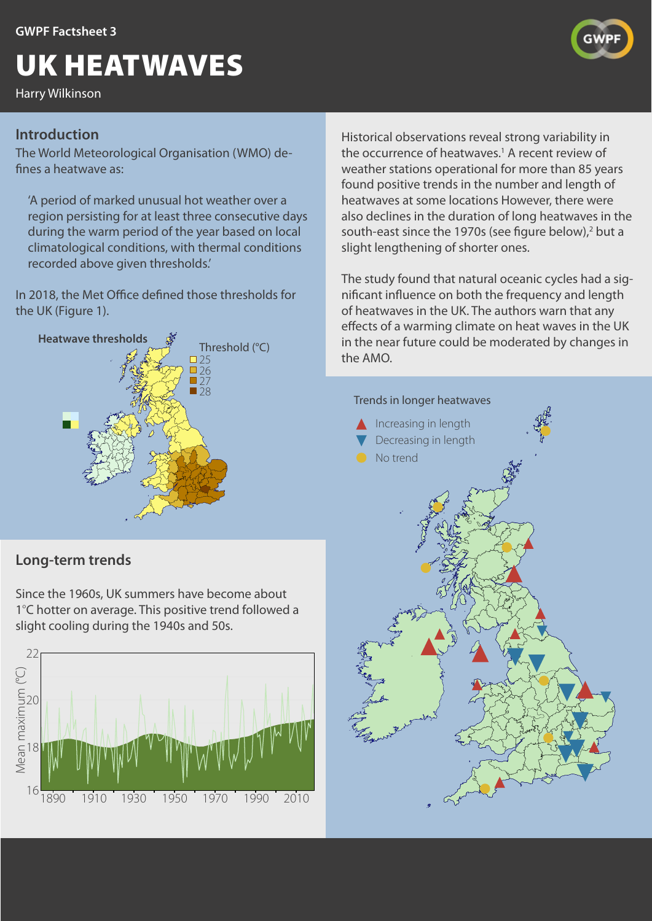# UK HEATWAVES

Harry Wilkinson

## **Introduction**

The World Meteorological Organisation (WMO) defines a heatwave as:

'A period of marked unusual hot weather over a region persisting for at least three consecutive days during the warm period of the year based on local climatological conditions, with thermal conditions recorded above given thresholds.'

In 2018, the Met Office defined those thresholds for the UK (Figure 1).



# **Long-term trends**

Since the 1960s, UK summers have become about 1°C hotter on average. This positive trend followed a slight cooling during the 1940s and 50s.



Historical observations reveal strong variability in the occurrence of heatwaves.<sup>1</sup> A recent review of weather stations operational for more than 85 years found positive trends in the number and length of heatwaves at some locations However, there were also declines in the duration of long heatwaves in the south-east since the 1970s (see figure below),<sup>2</sup> but a slight lengthening of shorter ones.

The study found that natural oceanic cycles had a significant influence on both the frequency and length of heatwaves in the UK. The authors warn that any effects of a warming climate on heat waves in the UK in the near future could be moderated by changes in the AMO.